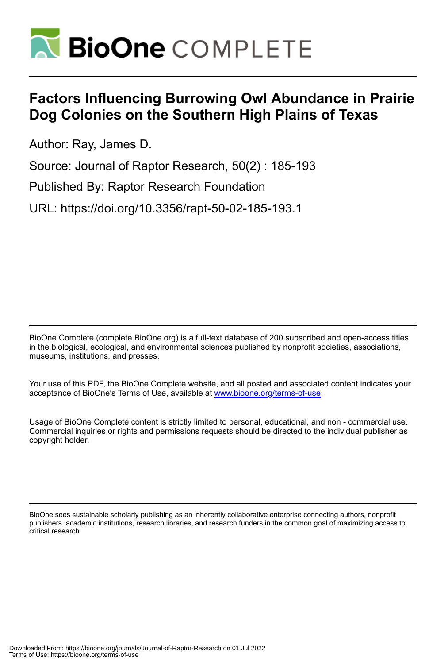

# **Factors Influencing Burrowing Owl Abundance in Prairie Dog Colonies on the Southern High Plains of Texas**

Author: Ray, James D.

Source: Journal of Raptor Research, 50(2) : 185-193

Published By: Raptor Research Foundation

URL: https://doi.org/10.3356/rapt-50-02-185-193.1

BioOne Complete (complete.BioOne.org) is a full-text database of 200 subscribed and open-access titles in the biological, ecological, and environmental sciences published by nonprofit societies, associations, museums, institutions, and presses.

Your use of this PDF, the BioOne Complete website, and all posted and associated content indicates your acceptance of BioOne's Terms of Use, available at www.bioone.org/terms-of-use.

Usage of BioOne Complete content is strictly limited to personal, educational, and non - commercial use. Commercial inquiries or rights and permissions requests should be directed to the individual publisher as copyright holder.

BioOne sees sustainable scholarly publishing as an inherently collaborative enterprise connecting authors, nonprofit publishers, academic institutions, research libraries, and research funders in the common goal of maximizing access to critical research.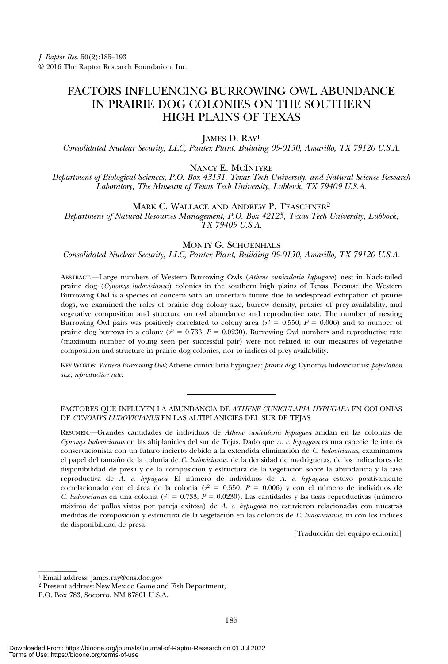# FACTORS INFLUENCING BURROWING OWL ABUNDANCE IN PRAIRIE DOG COLONIES ON THE SOUTHERN HIGH PLAINS OF TEXAS

JAMES D. RAY<sup>1</sup>

Consolidated Nuclear Security, LLC, Pantex Plant, Building 09-0130, Amarillo, TX 79120 U.S.A.

NANCY E. MCINTYRE

Department of Biological Sciences, P.O. Box 43131, Texas Tech University, and Natural Science Research Laboratory, The Museum of Texas Tech University, Lubbock, TX 79409 U.S.A.

MARK C. WALLACE AND ANDREW P. TEASCHNER<sup>2</sup>

Department of Natural Resources Management, P.O. Box 42125, Texas Tech University, Lubbock, TX 79409 U.S.A.

## MONTY G. SCHOENHALS

Consolidated Nuclear Security, LLC, Pantex Plant, Building 09-0130, Amarillo, TX 79120 U.S.A.

ABSTRACT.—Large numbers of Western Burrowing Owls (Athene cunicularia hypugaea) nest in black-tailed prairie dog (Cynomys ludovicianus) colonies in the southern high plains of Texas. Because the Western Burrowing Owl is a species of concern with an uncertain future due to widespread extirpation of prairie dogs, we examined the roles of prairie dog colony size, burrow density, proxies of prey availability, and vegetative composition and structure on owl abundance and reproductive rate. The number of nesting Burrowing Owl pairs was positively correlated to colony area ( $r^2 = 0.550$ ,  $P = 0.006$ ) and to number of prairie dog burrows in a colony ( $r^2 = 0.733$ ,  $P = 0.0230$ ). Burrowing Owl numbers and reproductive rate (maximum number of young seen per successful pair) were not related to our measures of vegetative composition and structure in prairie dog colonies, nor to indices of prey availability.

KEY WORDS: Western Burrowing Owl; Athene cunicularia hypugaea; prairie dog; Cynomys ludovicianus; population size; reproductive rate.

### FACTORES QUE INFLUYEN LA ABUNDANCIA DE ATHENE CUNICULARIA HYPUGAEA EN COLONIAS DE CYNOMYS LUDOVICIANUS EN LAS ALTIPLANICIES DEL SUR DE TEJAS

RESUMEN.—Grandes cantidades de individuos de Athene cunicularia hypugaea anidan en las colonias de Cynomys ludovicianus en las altiplanicies del sur de Tejas. Dado que A. c. hypugaea es una especie de interés conservacionista con un futuro incierto debido a la extendida eliminación de C. ludovicianus, examinamos el papel del tamaño de la colonia de C. ludovicianus, de la densidad de madrigueras, de los indicadores de disponibilidad de presa y de la composición y estructura de la vegetación sobre la abundancia y la tasa reproductiva de A. c. hypugaea. El número de individuos de A. c. hypugaea estuvo positivamente correlacionado con el área de la colonia ( $r^2 = 0.550$ ,  $P = 0.006$ ) y con el número de individuos de C. ludovicianus en una colonia ( $r^2 = 0.733$ ,  $P = 0.0230$ ). Las cantidades y las tasas reproductivas (número máximo de pollos vistos por pareja exitosa) de A. c. hypugaea no estuvieron relacionadas con nuestras medidas de composición y estructura de la vegetación en las colonias de C. ludovicianus, ni con los índices de disponibilidad de presa.

[Traducción del equipo editorial]

<sup>1</sup> Email address: james.ray@cns.doe.gov

<sup>2</sup> Present address: New Mexico Game and Fish Department,

P.O. Box 783, Socorro, NM 87801 U.S.A.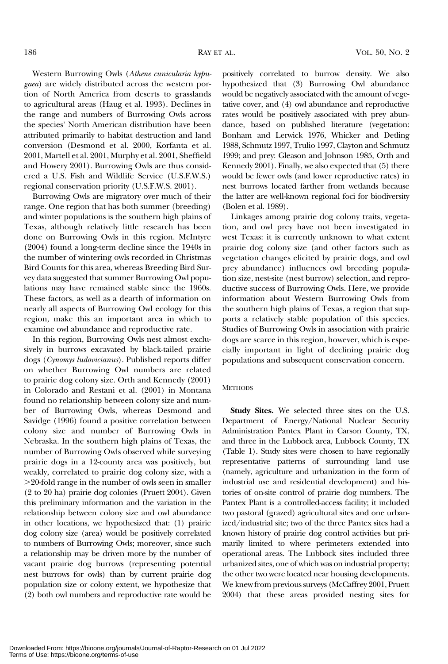Western Burrowing Owls (Athene cunicularia hypugaea) are widely distributed across the western portion of North America from deserts to grasslands to agricultural areas (Haug et al. 1993). Declines in the range and numbers of Burrowing Owls across the species' North American distribution have been attributed primarily to habitat destruction and land conversion (Desmond et al. 2000, Korfanta et al. 2001, Martell et al. 2001, Murphy et al. 2001, Sheffield and Howery 2001). Burrowing Owls are thus considered a U.S. Fish and Wildlife Service (U.S.F.W.S.) regional conservation priority (U.S.F.W.S. 2001).

Burrowing Owls are migratory over much of their range. One region that has both summer (breeding) and winter populations is the southern high plains of Texas, although relatively little research has been done on Burrowing Owls in this region. McIntyre (2004) found a long-term decline since the 1940s in the number of wintering owls recorded in Christmas Bird Counts for this area, whereas Breeding Bird Survey data suggested that summer Burrowing Owl populations may have remained stable since the 1960s. These factors, as well as a dearth of information on nearly all aspects of Burrowing Owl ecology for this region, make this an important area in which to examine owl abundance and reproductive rate.

In this region, Burrowing Owls nest almost exclusively in burrows excavated by black-tailed prairie dogs (Cynomys ludovicianus). Published reports differ on whether Burrowing Owl numbers are related to prairie dog colony size. Orth and Kennedy (2001) in Colorado and Restani et al. (2001) in Montana found no relationship between colony size and number of Burrowing Owls, whereas Desmond and Savidge (1996) found a positive correlation between colony size and number of Burrowing Owls in Nebraska. In the southern high plains of Texas, the number of Burrowing Owls observed while surveying prairie dogs in a 12-county area was positively, but weakly, correlated to prairie dog colony size, with a .20-fold range in the number of owls seen in smaller (2 to 20 ha) prairie dog colonies (Pruett 2004). Given this preliminary information and the variation in the relationship between colony size and owl abundance in other locations, we hypothesized that: (1) prairie dog colony size (area) would be positively correlated to numbers of Burrowing Owls; moreover, since such a relationship may be driven more by the number of vacant prairie dog burrows (representing potential nest burrows for owls) than by current prairie dog population size or colony extent, we hypothesize that (2) both owl numbers and reproductive rate would be

positively correlated to burrow density. We also hypothesized that (3) Burrowing Owl abundance would be negatively associated with the amount of vegetative cover, and (4) owl abundance and reproductive rates would be positively associated with prey abundance, based on published literature (vegetation: Bonham and Lerwick 1976, Whicker and Detling 1988, Schmutz 1997, Trulio 1997, Clayton and Schmutz 1999; and prey: Gleason and Johnson 1985, Orth and Kennedy 2001). Finally, we also expected that (5) there would be fewer owls (and lower reproductive rates) in nest burrows located farther from wetlands because the latter are well-known regional foci for biodiversity (Bolen et al. 1989).

Linkages among prairie dog colony traits, vegetation, and owl prey have not been investigated in west Texas: it is currently unknown to what extent prairie dog colony size (and other factors such as vegetation changes elicited by prairie dogs, and owl prey abundance) influences owl breeding population size, nest-site (nest burrow) selection, and reproductive success of Burrowing Owls. Here, we provide information about Western Burrowing Owls from the southern high plains of Texas, a region that supports a relatively stable population of this species. Studies of Burrowing Owls in association with prairie dogs are scarce in this region, however, which is especially important in light of declining prairie dog populations and subsequent conservation concern.

#### **METHODS**

Study Sites. We selected three sites on the U.S. Department of Energy/National Nuclear Security Administration Pantex Plant in Carson County, TX, and three in the Lubbock area, Lubbock County, TX (Table 1). Study sites were chosen to have regionally representative patterns of surrounding land use (namely, agriculture and urbanization in the form of industrial use and residential development) and histories of on-site control of prairie dog numbers. The Pantex Plant is a controlled-access facility; it included two pastoral (grazed) agricultural sites and one urbanized/industrial site; two of the three Pantex sites had a known history of prairie dog control activities but primarily limited to where perimeters extended into operational areas. The Lubbock sites included three urbanized sites, one of which was on industrial property; the other two were located near housing developments. We knew from previous surveys (McCaffrey 2001, Pruett 2004) that these areas provided nesting sites for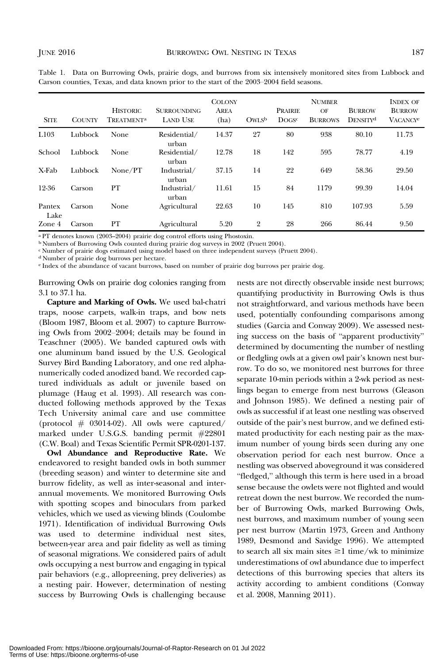| <b>SITE</b>    | <b>COUNTY</b> | <b>HISTORIC</b><br>TREATMENT <sup>a</sup> | <b>SURROUNDING</b><br><b>LAND USE</b> | <b>COLONY</b><br>AREA<br>(ha) | OWLSb          | PRAIRIE<br>DOGS <sup>c</sup> | <b>NUMBER</b><br>OF<br><b>BURROWS</b> | <b>BURROW</b><br>DENSITY <sup>d</sup> | <b>INDEX OF</b><br><b>BURROW</b><br><b>VACANCY</b> <sup>e</sup> |
|----------------|---------------|-------------------------------------------|---------------------------------------|-------------------------------|----------------|------------------------------|---------------------------------------|---------------------------------------|-----------------------------------------------------------------|
| L103           | Lubbock       | None                                      | Residential/<br>urban                 | 14.37                         | 27             | 80                           | 938                                   | 80.10                                 | 11.73                                                           |
| School         | Lubbock       | None                                      | Residential/<br>urban                 | 12.78                         | 18             | 142                          | 595                                   | 78.77                                 | 4.19                                                            |
| X-Fab          | Lubbock       | None/PT                                   | Industrial/<br>urban                  | 37.15                         | 14             | 22                           | 649                                   | 58.36                                 | 29.50                                                           |
| 12-36          | Carson        | PT                                        | Industrial/<br>urban                  | 11.61                         | 15             | 84                           | 1179                                  | 99.39                                 | 14.04                                                           |
| Pantex<br>Lake | Carson        | None                                      | Agricultural                          | 22.63                         | 10             | 145                          | 810                                   | 107.93                                | 5.59                                                            |
| Zone 4         | Carson        | PT                                        | Agricultural                          | 5.20                          | $\overline{2}$ | 28                           | 266                                   | 86.44                                 | 9.50                                                            |

Table 1. Data on Burrowing Owls, prairie dogs, and burrows from six intensively monitored sites from Lubbock and Carson counties, Texas, and data known prior to the start of the 2003–2004 field seasons.

<sup>a</sup> PT denotes known (2003–2004) prairie dog control efforts using Phostoxin.

<sup>b</sup> Numbers of Burrowing Owls counted during prairie dog surveys in 2002 (Pruett 2004).

c Number of prairie dogs estimated using model based on three independent surveys (Pruett 2004).

<sup>d</sup> Number of prairie dog burrows per hectare.

<sup>e</sup> Index of the abundance of vacant burrows, based on number of prairie dog burrows per prairie dog.

Burrowing Owls on prairie dog colonies ranging from 3.1 to 37.1 ha.

Capture and Marking of Owls. We used bal-chatri traps, noose carpets, walk-in traps, and bow nets (Bloom 1987, Bloom et al. 2007) to capture Burrowing Owls from 2002–2004; details may be found in Teaschner (2005). We banded captured owls with one aluminum band issued by the U.S. Geological Survey Bird Banding Laboratory, and one red alphanumerically coded anodized band. We recorded captured individuals as adult or juvenile based on plumage (Haug et al. 1993). All research was conducted following methods approved by the Texas Tech University animal care and use committee (protocol  $#$  03014-02). All owls were captured/ marked under U.S.G.S. banding permit #22801 (C.W. Boal) and Texas Scientific Permit SPR-0201-137.

Owl Abundance and Reproductive Rate. We endeavored to resight banded owls in both summer (breeding season) and winter to determine site and burrow fidelity, as well as inter-seasonal and interannual movements. We monitored Burrowing Owls with spotting scopes and binoculars from parked vehicles, which we used as viewing blinds (Coulombe 1971). Identification of individual Burrowing Owls was used to determine individual nest sites, between-year area and pair fidelity as well as timing of seasonal migrations. We considered pairs of adult owls occupying a nest burrow and engaging in typical pair behaviors (e.g., allopreening, prey deliveries) as a nesting pair. However, determination of nesting success by Burrowing Owls is challenging because

nests are not directly observable inside nest burrows; quantifying productivity in Burrowing Owls is thus not straightforward, and various methods have been used, potentially confounding comparisons among studies (Garcia and Conway 2009). We assessed nesting success on the basis of "apparent productivity" determined by documenting the number of nestling or fledgling owls at a given owl pair's known nest burrow. To do so, we monitored nest burrows for three separate 10-min periods within a 2-wk period as nestlings began to emerge from nest burrows (Gleason and Johnson 1985). We defined a nesting pair of owls as successful if at least one nestling was observed outside of the pair's nest burrow, and we defined estimated productivity for each nesting pair as the maximum number of young birds seen during any one observation period for each nest burrow. Once a nestling was observed aboveground it was considered "fledged," although this term is here used in a broad sense because the owlets were not flighted and would retreat down the nest burrow. We recorded the number of Burrowing Owls, marked Burrowing Owls, nest burrows, and maximum number of young seen per nest burrow (Martin 1973, Green and Anthony 1989, Desmond and Savidge 1996). We attempted to search all six main sites  $\geq$ 1 time/wk to minimize underestimations of owl abundance due to imperfect detections of this burrowing species that alters its activity according to ambient conditions (Conway et al. 2008, Manning 2011).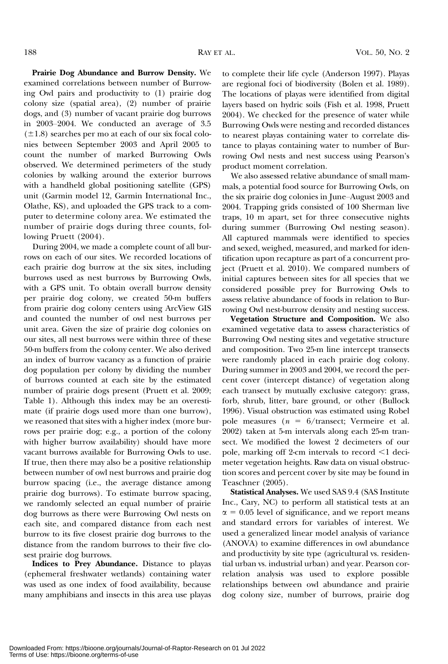Prairie Dog Abundance and Burrow Density. We examined correlations between number of Burrowing Owl pairs and productivity to (1) prairie dog colony size (spatial area), (2) number of prairie dogs, and (3) number of vacant prairie dog burrows in 2003–2004. We conducted an average of 3.5  $(\pm 1.8)$  searches per mo at each of our six focal colonies between September 2003 and April 2005 to count the number of marked Burrowing Owls observed. We determined perimeters of the study colonies by walking around the exterior burrows with a handheld global positioning satellite (GPS) unit (Garmin model 12, Garmin International Inc., Olathe, KS), and uploaded the GPS track to a computer to determine colony area. We estimated the number of prairie dogs during three counts, following Pruett (2004).

During 2004, we made a complete count of all burrows on each of our sites. We recorded locations of each prairie dog burrow at the six sites, including burrows used as nest burrows by Burrowing Owls, with a GPS unit. To obtain overall burrow density per prairie dog colony, we created 50-m buffers from prairie dog colony centers using ArcView GIS and counted the number of owl nest burrows per unit area. Given the size of prairie dog colonies on our sites, all nest burrows were within three of these 50-m buffers from the colony center. We also derived an index of burrow vacancy as a function of prairie dog population per colony by dividing the number of burrows counted at each site by the estimated number of prairie dogs present (Pruett et al. 2009; Table 1). Although this index may be an overestimate (if prairie dogs used more than one burrow), we reasoned that sites with a higher index (more burrows per prairie dog; e.g., a portion of the colony with higher burrow availability) should have more vacant burrows available for Burrowing Owls to use. If true, then there may also be a positive relationship between number of owl nest burrows and prairie dog burrow spacing (i.e., the average distance among prairie dog burrows). To estimate burrow spacing, we randomly selected an equal number of prairie dog burrows as there were Burrowing Owl nests on each site, and compared distance from each nest burrow to its five closest prairie dog burrows to the distance from the random burrows to their five closest prairie dog burrows.

Indices to Prey Abundance. Distance to playas (ephemeral freshwater wetlands) containing water was used as one index of food availability, because many amphibians and insects in this area use playas

to complete their life cycle (Anderson 1997). Playas are regional foci of biodiversity (Bolen et al. 1989). The locations of playas were identified from digital layers based on hydric soils (Fish et al. 1998, Pruett 2004). We checked for the presence of water while Burrowing Owls were nesting and recorded distances to nearest playas containing water to correlate distance to playas containing water to number of Burrowing Owl nests and nest success using Pearson's product moment correlation.

We also assessed relative abundance of small mammals, a potential food source for Burrowing Owls, on the six prairie dog colonies in June–August 2003 and 2004. Trapping grids consisted of 100 Sherman live traps, 10 m apart, set for three consecutive nights during summer (Burrowing Owl nesting season). All captured mammals were identified to species and sexed, weighed, measured, and marked for identification upon recapture as part of a concurrent project (Pruett et al. 2010). We compared numbers of initial captures between sites for all species that we considered possible prey for Burrowing Owls to assess relative abundance of foods in relation to Burrowing Owl nest-burrow density and nesting success.

Vegetation Structure and Composition. We also examined vegetative data to assess characteristics of Burrowing Owl nesting sites and vegetative structure and composition. Two 25-m line intercept transects were randomly placed in each prairie dog colony. During summer in 2003 and 2004, we record the percent cover (intercept distance) of vegetation along each transect by mutually exclusive category: grass, forb, shrub, litter, bare ground, or other (Bullock 1996). Visual obstruction was estimated using Robel pole measures ( $n = 6$ /transect; Vermeire et al. 2002) taken at 5-m intervals along each 25-m tran‐ sect. We modified the lowest 2 decimeters of our pole, marking off 2-cm intervals to record  $\leq 1$  decimeter vegetation heights. Raw data on visual obstruction scores and percent cover by site may be found in Teaschner (2005).

Statistical Analyses. We used SAS 9.4 (SAS Institute Inc., Cary, NC) to perform all statistical tests at an  $\alpha$  = 0.05 level of significance, and we report means and standard errors for variables of interest. We used a generalized linear model analysis of variance (ANOVA) to examine differences in owl abundance and productivity by site type (agricultural vs. residential urban vs. industrial urban) and year. Pearson correlation analysis was used to explore possible relationships between owl abundance and prairie dog colony size, number of burrows, prairie dog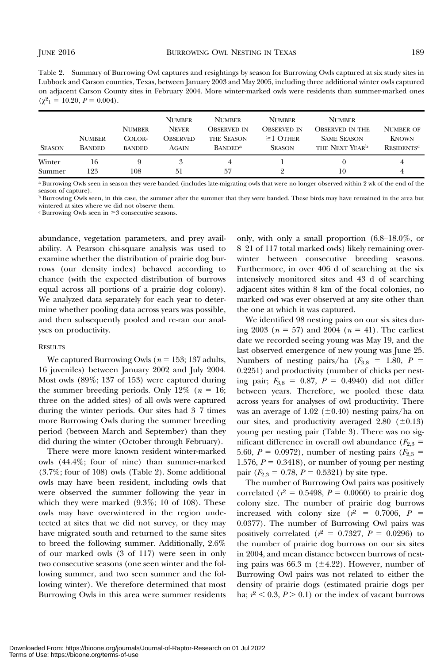Table 2. Summary of Burrowing Owl captures and resightings by season for Burrowing Owls captured at six study sites in Lubbock and Carson counties, Texas, between January 2003 and May 2005, including three additional winter owls captured on adjacent Carson County sites in February 2004. More winter-marked owls were residents than summer-marked ones  $(\chi^2_1 = 10.20, P = 0.004).$ 

| <b>SEASON</b> | <b>NUMBER</b><br><b>BANDED</b> | <b>NUMBER</b><br>COLOR-<br><b>BANDED</b> | <b>NUMBER</b><br><b>NEVER</b><br>Observed<br>AGAIN | <b>NUMBER</b><br><b>OBSERVED IN</b><br><b>THE SEASON</b><br><b>BANDED<sup>a</sup></b> | <b>NUMBER</b><br>OBSERVED IN<br>$\geq$ 1 OTHER<br><b>SEASON</b> | <b>NUMBER</b><br><b>OBSERVED IN THE</b><br><b>SAME SEASON</b><br>THE NEXT YEAR <sup>b</sup> | <b>NUMBER OF</b><br><b>KNOWN</b><br><b>RESIDENTS<sup>c</sup></b> |
|---------------|--------------------------------|------------------------------------------|----------------------------------------------------|---------------------------------------------------------------------------------------|-----------------------------------------------------------------|---------------------------------------------------------------------------------------------|------------------------------------------------------------------|
| Winter        | 16                             | 9                                        | 3                                                  | 4                                                                                     | 9                                                               | 0                                                                                           | 4                                                                |
| Summer        | 123                            | $^{108}$                                 | 51                                                 | .57                                                                                   |                                                                 | 10                                                                                          | 4                                                                |

<sup>a</sup> Burrowing Owls seen in season they were banded (includes late-migrating owls that were no longer observed within 2 wk of the end of the season of capture).

**b Burrowing Owls seen, in this case, the summer after the summer that they were banded. These birds may have remained in the area but** wintered at sites where we did not observe them.

 $\epsilon$  Burrowing Owls seen in  $\geq$  3 consecutive seasons.

abundance, vegetation parameters, and prey availability. A Pearson chi-square analysis was used to examine whether the distribution of prairie dog burrows (our density index) behaved according to chance (with the expected distribution of burrows equal across all portions of a prairie dog colony). We analyzed data separately for each year to determine whether pooling data across years was possible, and then subsequently pooled and re-ran our analyses on productivity.

#### **RESULTS**

We captured Burrowing Owls ( $n = 153$ ; 137 adults, 16 juveniles) between January 2002 and July 2004. Most owls (89%; 137 of 153) were captured during the summer breeding periods. Only  $12\%$  ( $n = 16$ ; three on the added sites) of all owls were captured during the winter periods. Our sites had 3–7 times more Burrowing Owls during the summer breeding period (between March and September) than they did during the winter (October through February).

There were more known resident winter-marked owls (44.4%; four of nine) than summer-marked (3.7%; four of 108) owls (Table 2). Some additional owls may have been resident, including owls that were observed the summer following the year in which they were marked (9.3%; 10 of 108). These owls may have overwintered in the region undetected at sites that we did not survey, or they may have migrated south and returned to the same sites to breed the following summer. Additionally, 2.6% of our marked owls (3 of 117) were seen in only two consecutive seasons (one seen winter and the following summer, and two seen summer and the following winter). We therefore determined that most Burrowing Owls in this area were summer residents

only, with only a small proportion (6.8–18.0%, or 8–21 of 117 total marked owls) likely remaining overwinter between consecutive breeding seasons. Furthermore, in over 406 d of searching at the six intensively monitored sites and 43 d of searching adjacent sites within 8 km of the focal colonies, no marked owl was ever observed at any site other than the one at which it was captured.

We identified 98 nesting pairs on our six sites during 2003 ( $n = 57$ ) and 2004 ( $n = 41$ ). The earliest date we recorded seeing young was May 19, and the last observed emergence of new young was June 25. Numbers of nesting pairs/ha ( $F_{3,8}$  = 1.80, P = 0.2251) and productivity (number of chicks per nesting pair;  $F_{3,8} = 0.87, P = 0.4940$  did not differ between years. Therefore, we pooled these data across years for analyses of owl productivity. There was an average of 1.02 ( $\pm$ 0.40) nesting pairs/ha on our sites, and productivity averaged  $2.80$  ( $\pm 0.13$ ) young per nesting pair (Table 3). There was no significant difference in overall owl abundance  $(F_{2,3} =$ 5.60,  $P = 0.0972$ ), number of nesting pairs ( $F_{2,3} =$ 1.576,  $P = 0.3418$ , or number of young per nesting pair  $(F_{2,3} = 0.78, P = 0.5321)$  by site type.

The number of Burrowing Owl pairs was positively correlated ( $r^2 = 0.5498$ ,  $P = 0.0060$ ) to prairie dog colony size. The number of prairie dog burrows increased with colony size  $(r^2 = 0.7006, P =$ 0.0377). The number of Burrowing Owl pairs was positively correlated ( $r^2 = 0.7327$ ,  $P = 0.0296$ ) to the number of prairie dog burrows on our six sites in 2004, and mean distance between burrows of nesting pairs was 66.3 m ( $\pm$ 4.22). However, number of Burrowing Owl pairs was not related to either the density of prairie dogs (estimated prairie dogs per ha;  $r^2$  < 0.3, P > 0.1) or the index of vacant burrows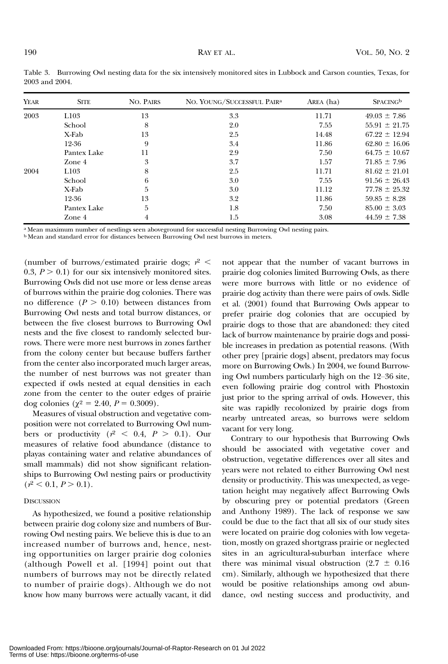| <b>YEAR</b> | <b>SITE</b> | <b>NO. PAIRS</b> | NO. YOUNG/SUCCESSFUL PAIR <sup>a</sup> | AREA (ha) | <b>SPACING</b> <sup>b</sup> |
|-------------|-------------|------------------|----------------------------------------|-----------|-----------------------------|
| 2003        | L103        | 13               | 3.3                                    | 11.71     | $49.03 \pm 7.86$            |
|             | School      | 8                | 2.0                                    | 7.55      | $55.91 \pm 21.75$           |
|             | X-Fab       | 13               | 2.5                                    | 14.48     | $67.22 \pm 12.94$           |
|             | 12-36       | 9                | 3.4                                    | 11.86     | $62.80 \pm 16.06$           |
|             | Pantex Lake | 11               | 2.9                                    | 7.50      | $64.75 \pm 10.67$           |
|             | Zone 4      | 3                | 3.7                                    | 1.57      | $71.85 \pm 7.96$            |
| 2004        | L103        | 8                | 2.5                                    | 11.71     | $81.62 \pm 21.01$           |
|             | School      | 6                | 3.0                                    | 7.55      | $91.56 \pm 26.43$           |
|             | X-Fab       | 5                | 3.0                                    | 11.12     | $77.78 \pm 25.32$           |
|             | 12-36       | 13               | 3.2                                    | 11.86     | $59.85 \pm 8.28$            |
|             | Pantex Lake | 5                | 1.8                                    | 7.50      | $85.00 \pm 3.03$            |
|             | Zone 4      | 4                | 1.5                                    | 3.08      | $44.59 \pm 7.38$            |

Table 3. Burrowing Owl nesting data for the six intensively monitored sites in Lubbock and Carson counties, Texas, for 2003 and 2004.

a Mean maximum number of nestlings seen aboveground for successful nesting Burrowing Owl nesting pairs.

<sup>b</sup> Mean and standard error for distances between Burrowing Owl nest burrows in meters.

(number of burrows/estimated prairie dogs;  $r^2$  < 0.3,  $P > 0.1$ ) for our six intensively monitored sites. Burrowing Owls did not use more or less dense areas of burrows within the prairie dog colonies. There was no difference  $(P > 0.10)$  between distances from Burrowing Owl nests and total burrow distances, or between the five closest burrows to Burrowing Owl nests and the five closest to randomly selected burrows. There were more nest burrows in zones farther from the colony center but because buffers farther from the center also incorporated much larger areas, the number of nest burrows was not greater than expected if owls nested at equal densities in each zone from the center to the outer edges of prairie dog colonies ( $\chi^2 = 2.40$ ,  $P = 0.3009$ ).

Measures of visual obstruction and vegetative composition were not correlated to Burrowing Owl numbers or productivity  $(r^2 < 0.4, P > 0.1)$ . Our measures of relative food abundance (distance to playas containing water and relative abundances of small mammals) did not show significant relationships to Burrowing Owl nesting pairs or productivity  $(r^2 < 0.1, P > 0.1).$ 

#### **DISCUSSION**

As hypothesized, we found a positive relationship between prairie dog colony size and numbers of Burrowing Owl nesting pairs. We believe this is due to an increased number of burrows and, hence, nesting opportunities on larger prairie dog colonies (although Powell et al. [1994] point out that numbers of burrows may not be directly related to number of prairie dogs). Although we do not know how many burrows were actually vacant, it did

not appear that the number of vacant burrows in prairie dog colonies limited Burrowing Owls, as there were more burrows with little or no evidence of prairie dog activity than there were pairs of owls. Sidle et al. (2001) found that Burrowing Owls appear to prefer prairie dog colonies that are occupied by prairie dogs to those that are abandoned: they cited lack of burrow maintenance by prairie dogs and possible increases in predation as potential reasons. (With other prey [prairie dogs] absent, predators may focus more on Burrowing Owls.) In 2004, we found Burrowing Owl numbers particularly high on the 12–36 site, even following prairie dog control with Phostoxin just prior to the spring arrival of owls. However, this site was rapidly recolonized by prairie dogs from nearby untreated areas, so burrows were seldom vacant for very long.

Contrary to our hypothesis that Burrowing Owls should be associated with vegetative cover and obstruction, vegetative differences over all sites and years were not related to either Burrowing Owl nest density or productivity. This was unexpected, as vegetation height may negatively affect Burrowing Owls by obscuring prey or potential predators (Green and Anthony 1989). The lack of response we saw could be due to the fact that all six of our study sites were located on prairie dog colonies with low vegetation, mostly on grazed shortgrass prairie or neglected sites in an agricultural-suburban interface where there was minimal visual obstruction (2.7  $\pm$  0.16 cm). Similarly, although we hypothesized that there would be positive relationships among owl abundance, owl nesting success and productivity, and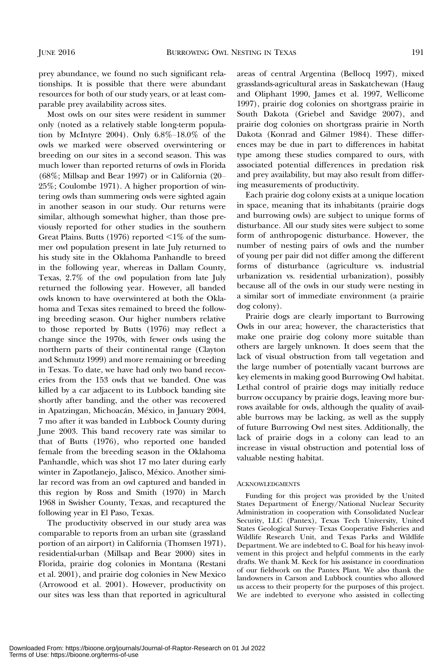prey abundance, we found no such significant relationships. It is possible that there were abundant resources for both of our study years, or at least comparable prey availability across sites.

Most owls on our sites were resident in summer only (noted as a relatively stable long-term population by McIntyre 2004). Only  $6.8\%$ -18.0% of the owls we marked were observed overwintering or breeding on our sites in a second season. This was much lower than reported returns of owls in Florida (68%; Millsap and Bear 1997) or in California (20– 25%; Coulombe 1971). A higher proportion of wintering owls than summering owls were sighted again in another season in our study. Our returns were similar, although somewhat higher, than those previously reported for other studies in the southern Great Plains. Butts (1976) reported  $\leq$ 1% of the summer owl population present in late July returned to his study site in the Oklahoma Panhandle to breed in the following year, whereas in Dallam County, Texas, 2.7% of the owl population from late July returned the following year. However, all banded owls known to have overwintered at both the Oklahoma and Texas sites remained to breed the following breeding season. Our higher numbers relative to those reported by Butts (1976) may reflect a change since the 1970s, with fewer owls using the northern parts of their continental range (Clayton and Schmutz 1999) and more remaining or breeding in Texas. To date, we have had only two band recoveries from the 153 owls that we banded. One was killed by a car adjacent to its Lubbock banding site shortly after banding, and the other was recovered in Apatzingan, Michoacán, México, in January 2004, 7 mo after it was banded in Lubbock County during June 2003. This band recovery rate was similar to that of Butts (1976), who reported one banded female from the breeding season in the Oklahoma Panhandle, which was shot 17 mo later during early winter in Zapotlanejo, Jalisco, México. Another similar record was from an owl captured and banded in this region by Ross and Smith (1970) in March 1968 in Swisher County, Texas, and recaptured the following year in El Paso, Texas.

The productivity observed in our study area was comparable to reports from an urban site (grassland portion of an airport) in California (Thomsen 1971), residential-urban (Millsap and Bear 2000) sites in Florida, prairie dog colonies in Montana (Restani et al. 2001), and prairie dog colonies in New Mexico (Arrowood et al. 2001). However, productivity on our sites was less than that reported in agricultural areas of central Argentina (Bellocq 1997), mixed grasslands-agricultural areas in Saskatchewan (Haug and Oliphant 1990, James et al. 1997, Wellicome 1997), prairie dog colonies on shortgrass prairie in South Dakota (Griebel and Savidge 2007), and prairie dog colonies on shortgrass prairie in North Dakota (Konrad and Gilmer 1984). These differences may be due in part to differences in habitat type among these studies compared to ours, with associated potential differences in predation risk and prey availability, but may also result from differing measurements of productivity.

Each prairie dog colony exists at a unique location in space, meaning that its inhabitants (prairie dogs and burrowing owls) are subject to unique forms of disturbance. All our study sites were subject to some form of anthropogenic disturbance. However, the number of nesting pairs of owls and the number of young per pair did not differ among the different forms of disturbance (agriculture vs. industrial urbanization vs. residential urbanization), possibly because all of the owls in our study were nesting in a similar sort of immediate environment (a prairie dog colony).

Prairie dogs are clearly important to Burrowing Owls in our area; however, the characteristics that make one prairie dog colony more suitable than others are largely unknown. It does seem that the lack of visual obstruction from tall vegetation and the large number of potentially vacant burrows are key elements in making good Burrowing Owl habitat. Lethal control of prairie dogs may initially reduce burrow occupancy by prairie dogs, leaving more burrows available for owls, although the quality of available burrows may be lacking, as well as the supply of future Burrowing Owl nest sites. Additionally, the lack of prairie dogs in a colony can lead to an increase in visual obstruction and potential loss of valuable nesting habitat.

#### **ACKNOWLEDGMENTS**

Funding for this project was provided by the United States Department of Energy/National Nuclear Security Administration in cooperation with Consolidated Nuclear Security, LLC (Pantex), Texas Tech University, United States Geological Survey–Texas Cooperative Fisheries and Wildlife Research Unit, and Texas Parks and Wildlife Department. We are indebted to C. Boal for his heavy involvement in this project and helpful comments in the early drafts. We thank M. Keck for his assistance in coordination of our fieldwork on the Pantex Plant. We also thank the landowners in Carson and Lubbock counties who allowed us access to their property for the purposes of this project. We are indebted to everyone who assisted in collecting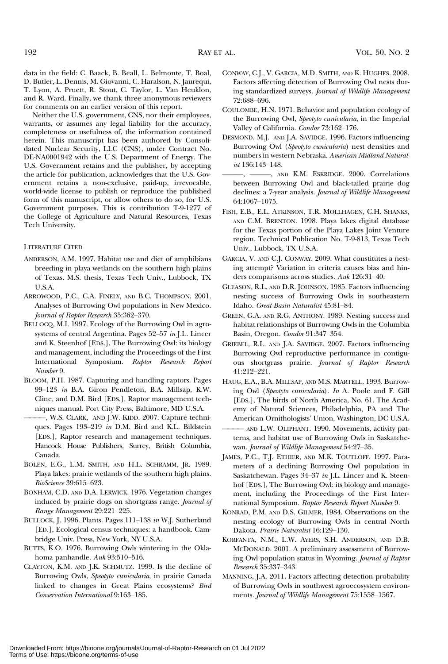data in the field: C. Baack, B. Beall, L. Belmonte, T. Boal, D. Butler, L. Dennis, M. Giovanni, C. Haralson, N. Jaurequi, T. Lyon, A. Pruett, R. Stout, C. Taylor, L. Van Heuklon, and R. Ward. Finally, we thank three anonymous reviewers for comments on an earlier version of this report.

Neither the U.S. government, CNS, nor their employees, warrants, or assumes any legal liability for the accuracy, completeness or usefulness of, the information contained herein. This manuscript has been authored by Consolidated Nuclear Security, LLC (CNS), under Contract No. DE-NA0001942 with the U.S. Department of Energy. The U.S. Government retains and the publisher, by accepting the article for publication, acknowledges that the U.S. Government retains a non-exclusive, paid-up, irrevocable, world-wide license to publish or reproduce the published form of this manuscript, or allow others to do so, for U.S. Government purposes. This is contribution T-9-1277 of the College of Agriculture and Natural Resources, Texas Tech University.

#### LITERATURE CITED

- ANDERSON, A.M. 1997. Habitat use and diet of amphibians breeding in playa wetlands on the southern high plains of Texas. M.S. thesis, Texas Tech Univ., Lubbock, TX U.S.A.
- ARROWOOD, P.C., C.A. FINELY, AND B.C. THOMPSON. 2001. Analyses of Burrowing Owl populations in New Mexico. Journal of Raptor Research 35:362–370.
- BELLOCQ, M.I. 1997. Ecology of the Burrowing Owl in agrosystems of central Argentina. Pages 52–57 in J.L. Lincer and K. Steenhof [EDS.], The Burrowing Owl: its biology and management, including the Proceedings of the First International Symposium. Raptor Research Report Number 9.
- BLOOM, P.H. 1987. Capturing and handling raptors. Pages 99–123 in B.A. Giron Pendleton, B.A. Millsap, K.W. Cline, and D.M. Bird [EDS.], Raptor management techniques manual. Port City Press, Baltimore, MD U.S.A.
- ————, W.S. CLARK, AND J.W. KIDD. 2007. Capture techniques. Pages 193–219 in D.M. Bird and K.L. Bildstein [EDS.], Raptor research and management techniques. Hancock House Publishers, Surrey, British Columbia, Canada.
- BOLEN, E.G., L.M. SMITH, AND H.L. SCHRAMM, JR. 1989. Playa lakes: prairie wetlands of the southern high plains. BioScience 39:615–623.
- BONHAM, C.D. AND D.A. LERWICK. 1976. Vegetation changes induced by prairie dogs on shortgrass range. Journal of Range Management 29:221–225.
- BULLOCK, J. 1996. Plants. Pages 111–138 in W.J. Sutherland [ED.], Ecological census techniques: a handbook. Cambridge Univ. Press, New York, NY U.S.A.
- BUTTS, K.O. 1976. Burrowing Owls wintering in the Oklahoma panhandle. Auk 93:510–516.
- CLAYTON, K.M. AND J.K. SCHMUTZ. 1999. Is the decline of Burrowing Owls, Speotyto cunicularia, in prairie Canada linked to changes in Great Plains ecosystems? Bird Conservation International 9:163–185.
- CONWAY, C.J., V. GARCIA, M.D. SMITH, AND K. HUGHES. 2008. Factors affecting detection of Burrowing Owl nests during standardized surveys. Journal of Wildlife Management 72:688–696.
- COULOMBE, H.N. 1971. Behavior and population ecology of the Burrowing Owl, Speotyto cunicularia, in the Imperial Valley of California. Condor 73:162–176.
- DESMOND, M.J. AND J.A. SAVIDGE. 1996. Factors influencing Burrowing Owl (Speotyto cunicularia) nest densities and numbers in western Nebraska. American Midland Naturalist 136:143–148.
- ———, ———, AND K.M. ESKRIDGE. 2000. Correlations between Burrowing Owl and black-tailed prairie dog declines: a 7-year analysis. Journal of Wildlife Management 64:1067–1075.
- FISH, E.B., E.L. ATKINSON, T.R. MOLLHAGEN, C.H. SHANKS, AND C.M. BRENTON. 1998. Playa lakes digital database for the Texas portion of the Playa Lakes Joint Venture region. Technical Publication No. T-9-813, Texas Tech Univ., Lubbock, TX U.S.A.
- GARCIA, V. AND C.J. CONWAY. 2009. What constitutes a nesting attempt? Variation in criteria causes bias and hinders comparisons across studies. Auk 126:31–40.
- GLEASON, R.L. AND D.R. JOHNSON. 1985. Factors influencing nesting success of Burrowing Owls in southeastern Idaho. Great Basin Naturalist 45:81–84.
- GREEN, G.A. AND R.G. ANTHONY. 1989. Nesting success and habitat relationships of Burrowing Owls in the Columbia Basin, Oregon. Condor 91:347–354.
- GRIEBEL, R.L. AND J.A. SAVIDGE. 2007. Factors influencing Burrowing Owl reproductive performance in contiguous shortgrass prairie. Journal of Raptor Research 41:212–221.
- HAUG, E.A., B.A. MILLSAP, AND M.S. MARTELL. 1993. Burrowing Owl (Speotyto cunicularia). In A. Poole and F. Gill [EDS.], The birds of North America, No. 61. The Academy of Natural Sciences, Philadelphia, PA and The American Ornithologists' Union, Washington, DC U.S.A.
- ———— AND L.W. OLIPHANT. 1990. Movements, activity patterns, and habitat use of Burrowing Owls in Saskatchewan. Journal of Wildlife Management 54:27–35.
- JAMES, P.C., T.J. ETHIER, AND M.K. TOUTLOFF. 1997. Parameters of a declining Burrowing Owl population in Saskatchewan. Pages 34–37 in J.L. Lincer and K. Steenhof [EDS.], The Burrowing Owl: its biology and management, including the Proceedings of the First Inter‐ national Symposium. Raptor Research Report Number 9.
- KONRAD, P.M. AND D.S. GILMER. 1984. Observations on the nesting ecology of Burrowing Owls in central North Dakota. Prairie Naturalist 16:129–130.
- KORFANTA, N.M., L.W. AYERS, S.H. ANDERSON, AND D.B. MCDONALD. 2001. A preliminary assessment of Burrowing Owl population status in Wyoming. Journal of Raptor Research 35:337–343.
- MANNING, J.A. 2011. Factors affecting detection probability of Burrowing Owls in southwest agroecosystem environments. Journal of Wildlife Management 75:1558–1567.